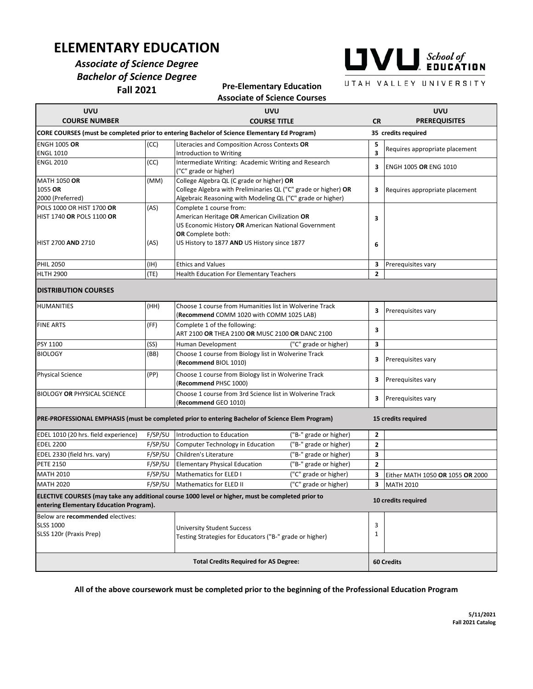## **ELEMENTARY EDUCATION**

### *Associate of Science Degree Bachelor of Science Degree* **Fall 2021**

# $\blacksquare \blacksquare \blacksquare$  School of

UTAH VALLEY UNIVERSITY

**Pre-Elementary Education**

|                                                                                 |         | <b>Associate of Science Courses</b>                                                                                                                                       |                        |                |                                    |
|---------------------------------------------------------------------------------|---------|---------------------------------------------------------------------------------------------------------------------------------------------------------------------------|------------------------|----------------|------------------------------------|
| <b>UVU</b><br><b>COURSE NUMBER</b>                                              |         | <b>UVU</b><br><b>COURSE TITLE</b>                                                                                                                                         |                        | <b>CR</b>      | <b>UVU</b><br><b>PREREQUISITES</b> |
|                                                                                 |         | <b>CORE COURSES (must be completed prior to entering Bachelor of Science Elementary Ed Program)</b>                                                                       |                        |                | 35 credits required                |
| <b>ENGH 1005 OR</b><br><b>ENGL 1010</b>                                         | (CC)    | Literacies and Composition Across Contexts OR<br>Introduction to Writing                                                                                                  |                        |                | Requires appropriate placement     |
| <b>ENGL 2010</b>                                                                | (CC)    | Intermediate Writing: Academic Writing and Research<br>("C" grade or higher)                                                                                              |                        |                | ENGH 1005 OR ENG 1010              |
| <b>MATH 1050 OR</b><br>1055 OR<br>2000 (Preferred)                              | (MM)    | College Algebra QL (C grade or higher) OR<br>College Algebra with Preliminaries QL ("C" grade or higher) OR<br>Algebraic Reasoning with Modeling QL ("C" grade or higher) |                        |                | Requires appropriate placement     |
| POLS 1000 OR HIST 1700 OR<br>HIST 1740 OR POLS 1100 OR                          | (AS)    | Complete 1 course from:<br>American Heritage OR American Civilization OR<br>US Economic History OR American National Government<br><b>OR</b> Complete both:               |                        |                |                                    |
| <b>HIST 2700 AND 2710</b>                                                       | (AS)    | US History to 1877 AND US History since 1877                                                                                                                              |                        |                |                                    |
| <b>PHIL 2050</b>                                                                | (IH)    | <b>Ethics and Values</b>                                                                                                                                                  |                        | 3              | Prerequisites vary                 |
| <b>HLTH 2900</b>                                                                | (TE)    | Health Education For Elementary Teachers                                                                                                                                  |                        | $\overline{2}$ |                                    |
| <b>DISTRIBUTION COURSES</b>                                                     |         |                                                                                                                                                                           |                        |                |                                    |
| <b>HUMANITIES</b>                                                               | (HH)    | Choose 1 course from Humanities list in Wolverine Track<br>(Recommend COMM 1020 with COMM 1025 LAB)                                                                       |                        | 3              | Prerequisites vary                 |
| <b>FINE ARTS</b>                                                                | (FF)    | Complete 1 of the following:<br>ART 2100 OR THEA 2100 OR MUSC 2100 OR DANC 2100                                                                                           |                        | 3              |                                    |
| PSY 1100                                                                        | (SS)    | Human Development                                                                                                                                                         | ("C" grade or higher)  | 3              |                                    |
| <b>BIOLOGY</b>                                                                  | (BB)    | Choose 1 course from Biology list in Wolverine Track<br>(Recommend BIOL 1010)                                                                                             |                        | 3              | Prerequisites vary                 |
| <b>Physical Science</b>                                                         | (PP)    | Choose 1 course from Biology list in Wolverine Track<br>(Recommend PHSC 1000)                                                                                             |                        | 3              | Prerequisites vary                 |
| <b>BIOLOGY OR PHYSICAL SCIENCE</b>                                              |         | Choose 1 course from 3rd Science list in Wolverine Track<br>( <b>Recommend</b> GEO 1010)                                                                                  |                        | з              | Prerequisites vary                 |
|                                                                                 |         | <b>PRE-PROFESSIONAL EMPHASIS (must be completed prior to entering Bachelor of Science Elem Program)</b>                                                                   |                        |                | 15 credits required                |
| EDEL 1010 (20 hrs. field experience)                                            | F/SP/SU | Introduction to Education                                                                                                                                                 | ("B-" grade or higher) | $\mathbf{2}$   |                                    |
| <b>EDEL 2200</b>                                                                | F/SP/SU | Computer Technology in Education                                                                                                                                          | ("B-" grade or higher) | $\overline{2}$ |                                    |
| EDEL 2330 (field hrs. vary)                                                     | F/SP/SU | Children's Literature                                                                                                                                                     | ("B-" grade or higher) | 3              |                                    |
| <b>PETE 2150</b>                                                                | F/SP/SU | <b>Elementary Physical Education</b>                                                                                                                                      | ("B-" grade or higher) | 2              |                                    |
| <b>MATH 2010</b>                                                                | F/SP/SU | Mathematics for ELED I                                                                                                                                                    | ("C" grade or higher)  | 3              | Either MATH 1050 OR 1055 OR 2000   |
| <b>MATH 2020</b>                                                                |         | F/SP/SU Mathematics for ELED II                                                                                                                                           | ("C" grade or higher)  |                | 3 MATH 2010                        |
| entering Elementary Education Program).                                         |         | ELECTIVE COURSES (may take any additional course 1000 level or higher, must be completed prior to                                                                         |                        |                | 10 credits required                |
| Below are recommended electives:<br><b>SLSS 1000</b><br>SLSS 120r (Praxis Prep) |         | University Student Success<br>Testing Strategies for Educators ("B-" grade or higher)                                                                                     |                        | 3<br>1         |                                    |
| <b>Total Credits Required for AS Degree:</b>                                    |         |                                                                                                                                                                           |                        |                | 60 Credits                         |

**All of the above coursework must be completed prior to the beginning of the Professional Education Program**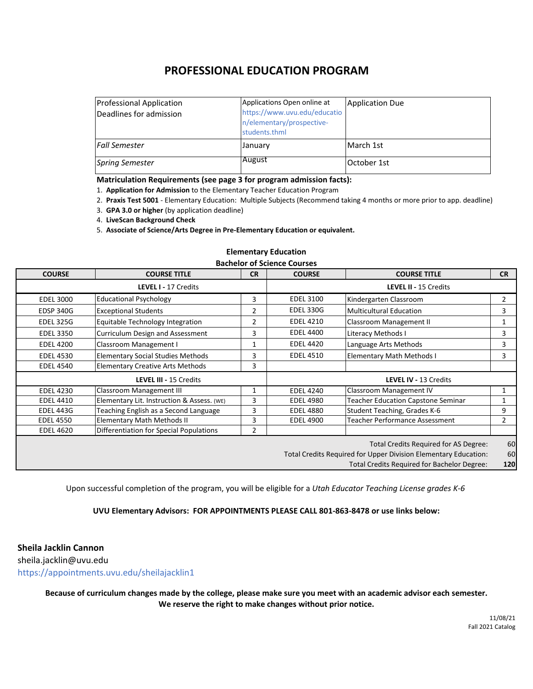## **PROFESSIONAL EDUCATION PROGRAM**

| <b>Professional Application</b><br>Deadlines for admission | Applications Open online at<br>https://www.uvu.edu/educatio<br>n/elementary/prospective-<br>students.thml | <b>Application Due</b> |
|------------------------------------------------------------|-----------------------------------------------------------------------------------------------------------|------------------------|
| l Fall Semester                                            | January                                                                                                   | March 1st              |
| <b>Spring Semester</b>                                     | August                                                                                                    | lOctober 1st           |

#### **Matriculation Requirements (see page 3 for program admission facts):**

1. **Application for Admission** to the Elementary Teacher Education Program

2. **Praxis Test 5001** - Elementary Education: Multiple Subjects (Recommend taking 4 months or more prior to app. deadline)

3. **GPA 3.0 or higher** (by application deadline)

4. **LiveScan Background Check**

5. **Associate of Science/Arts Degree in Pre-Elementary Education or equivalent.**

#### **Elementary Education**

#### **Bachelor of Science Courses**

| <b>COURSE</b>    | <b>COURSE TITLE</b>                        | <b>CR</b>      | <b>COURSE</b>    | <b>COURSE TITLE</b>                                             | <b>CR</b>      |
|------------------|--------------------------------------------|----------------|------------------|-----------------------------------------------------------------|----------------|
|                  |                                            |                |                  |                                                                 |                |
|                  | LEVEL I - 17 Credits                       |                |                  | LEVEL II - 15 Credits                                           |                |
| <b>EDEL 3000</b> | <b>Educational Psychology</b>              | 3              | <b>EDEL 3100</b> | Kindergarten Classroom                                          | $\overline{2}$ |
| <b>EDSP 340G</b> | <b>Exceptional Students</b>                | $\overline{2}$ | EDEL 330G        | <b>Multicultural Education</b>                                  | 3              |
| <b>EDEL 325G</b> | Equitable Technology Integration           | $\overline{2}$ | <b>EDEL 4210</b> | Classroom Management II                                         |                |
| <b>EDEL 3350</b> | Curriculum Design and Assessment           | 3              | <b>EDEL 4400</b> | Literacy Methods I                                              | 3              |
| <b>EDEL 4200</b> | Classroom Management I                     |                | <b>EDEL 4420</b> | Language Arts Methods                                           | 3              |
| <b>EDEL 4530</b> | <b>Elementary Social Studies Methods</b>   | 3              | <b>EDEL 4510</b> | <b>Elementary Math Methods I</b>                                | 3              |
| <b>EDEL 4540</b> | <b>Elementary Creative Arts Methods</b>    | 3              |                  |                                                                 |                |
|                  | LEVEL III - 15 Credits                     |                |                  | LEVEL IV - 13 Credits                                           |                |
| <b>EDEL 4230</b> | Classroom Management III                   | 1              | <b>EDEL 4240</b> | <b>Classroom Management IV</b>                                  | 1              |
| <b>EDEL 4410</b> | Elementary Lit. Instruction & Assess. (WE) | 3              | <b>EDEL 4980</b> | <b>Teacher Education Capstone Seminar</b>                       |                |
| <b>EDEL 443G</b> | Teaching English as a Second Language      | 3              | <b>EDEL 4880</b> | Student Teaching, Grades K-6                                    | 9              |
| <b>EDEL 4550</b> | <b>Elementary Math Methods II</b>          | 3              | <b>EDEL 4900</b> | <b>Teacher Performance Assessment</b>                           | $\overline{2}$ |
| <b>EDEL 4620</b> | Differentiation for Special Populations    | 2              |                  |                                                                 |                |
|                  |                                            |                |                  | Total Credits Required for AS Degree:                           | 60             |
|                  |                                            |                |                  | Total Credits Required for Upper Division Elementary Education: | 60             |
|                  |                                            |                |                  | Total Credits Required for Bachelor Degree:                     | 120            |

Upon successful completion of the program, you will be eligible for a *Utah Educator Teaching License grades K-6*

#### **UVU Elementary Advisors: FOR APPOINTMENTS PLEASE CALL 801-863-8478 or use links below:**

**Sheila Jacklin Cannon** sheila.jacklin@uvu.edu

https://appointments.uvu.edu/sheilajacklin1

**Because of curriculum changes made by the college, please make sure you meet with an academic advisor each semester. We reserve the right to make changes without prior notice.**